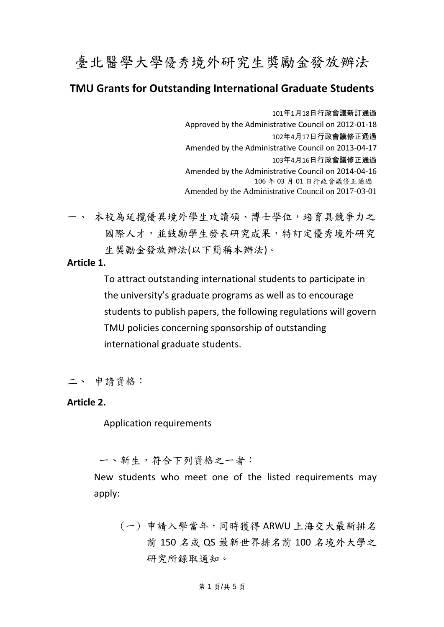# 臺北醫學大學優秀境外研究生獎勵金發放辦法

# **TMU Grants for Outstanding International Graduate Students**

101年1月18日行政會議新訂通過 Approved by the Administrative Council on 2012-01-18 102年4月17日行政會議修正通過 Amended by the Administrative Council on 2013-04-17 103年4月16日行政會議修正通過 Amended by the Administrative Council on 2014-04-16 106 年 03 月 01 日行政會議修正通過 Amended by the Administrative Council on 2017-03-01

一、 本校為延攬優異境外學生攻讀碩、博士學位,培育具競爭力之 國際人才,並鼓勵學生發表研究成果,特訂定優秀境外研究 生獎勵金發放辦法(以下簡稱本辦法)。

## **Article 1.**

To attract outstanding international students to participate in the university's graduate programs as well as to encourage students to publish papers, the following regulations will govern TMU policies concerning sponsorship of outstanding international graduate students.

二、 申請資格:

## **Article 2.**

Application requirements

一、新生,符合下列資格之一者:

New students who meet one of the listed requirements may apply:

(一) 申請入學當年,同時獲得 ARWU 上海交大最新排名 前 150 名或 QS 最新世界排名前 100 名境外大學之 研究所錄取通知。

#### 第 1 頁/共 5 頁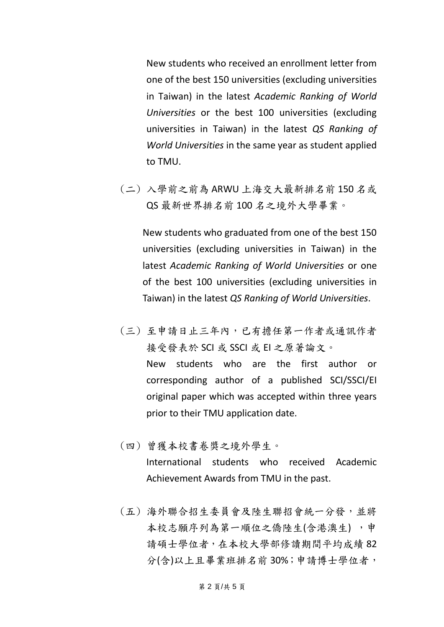New students who received an enrollment letter from one of the best 150 universities (excluding universities in Taiwan) in the latest *Academic Ranking of World Universities* or the best 100 universities (excluding universities in Taiwan) in the latest *QS Ranking of World Universities* in the same year as student applied to TMU.

(二) 入學前之前為 ARWU 上海交大最新排名前 150 名或 QS 最新世界排名前 100 名之境外大學畢業。

New students who graduated from one of the best 150 universities (excluding universities in Taiwan) in the latest *Academic Ranking of World Universities* or one of the best 100 universities (excluding universities in Taiwan) in the latest *QS Ranking of World Universities*.

- (三) 至申請日止三年內,已有擔任第一作者或通訊作者 接受發表於 SCI 或 SSCI 或 EI 之原著論文。 New students who are the first author or corresponding author of a published SCI/SSCI/EI original paper which was accepted within three years prior to their TMU application date.
- (四) 曾獲本校書卷獎之境外學生。 International students who received Academic Achievement Awards from TMU in the past.
- (五) 海外聯合招生委員會及陸生聯招會統一分發,並將 本校志願序列為第一順位之僑陸生(含港澳生),申 請碩士學位者,在本校大學部修讀期間平均成績 82 分(含)以上且畢業班排名前 30%;申請博士學位者,

第 2 頁/共 5 頁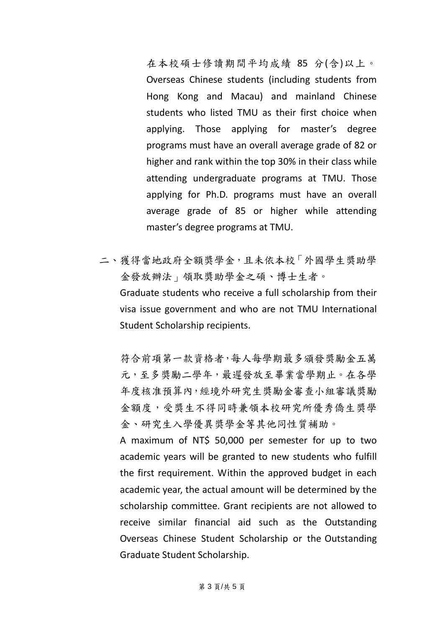在本校碩士修讀期間平均成績 85 分(含)以上。 Overseas Chinese students (including students from Hong Kong and Macau) and mainland Chinese students who listed TMU as their first choice when applying. Those applying for master's degree programs must have an overall average grade of 82 or higher and rank within the top 30% in their class while attending undergraduate programs at TMU. Those applying for Ph.D. programs must have an overall average grade of 85 or higher while attending master's degree programs at TMU.

二、獲得當地政府全額獎學金,且未依本校「外國學生獎助學 金發放辦法」領取獎助學金之碩、博士生者。 Graduate students who receive a full scholarship from their visa issue government and who are not TMU International Student Scholarship recipients.

符合前項第一款資格者,每人每學期最多頒發獎勵金五萬 元,至多獎勵二學年,最遲發放至畢業當學期止。在各學 年度核准預算內,經境外研究生獎勵金審查小組審議獎勵 金額度,受獎生不得同時兼領本校研究所優秀僑生獎學 金、研究生入學優異獎學金等其他同性質補助。

A maximum of NT\$ 50,000 per semester for up to two academic years will be granted to new students who fulfill the first requirement. Within the approved budget in each academic year, the actual amount will be determined by the scholarship committee. Grant recipients are not allowed to receive similar financial aid such as the Outstanding Overseas Chinese Student Scholarship or the Outstanding Graduate Student Scholarship.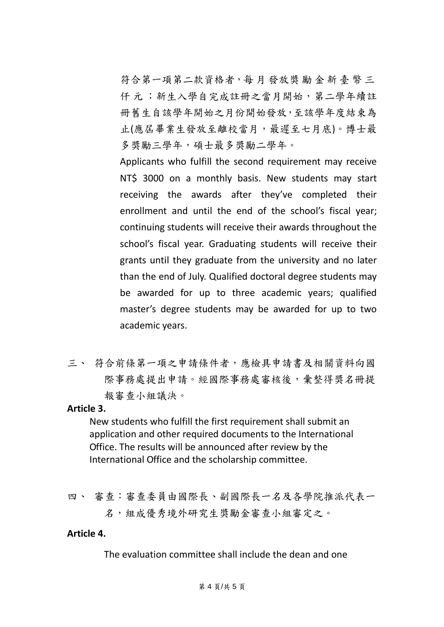符合第一項第二款資格者,每月發放獎勵金新臺幣三 仟 元 ;新生入學自完成註冊之當月開始,第二學年續註 冊舊生自該學年開始之月份開始發放,至該學年度結束為 止(應屆畢業生發放至離校當月,最遲至七月底)。博士最 多獎勵三學年,碩士最多獎勵二學年。

Applicants who fulfill the second requirement may receive NT\$ 3000 on a monthly basis. New students may start receiving the awards after they've completed their enrollment and until the end of the school's fiscal year; continuing students will receive their awards throughout the school's fiscal year. Graduating students will receive their grants until they graduate from the university and no later than the end of July. Qualified doctoral degree students may be awarded for up to three academic years; qualified master's degree students may be awarded for up to two academic years.

三、 符合前條第一項之申請條件者,應檢具申請書及相關資料向國 際事務處審務處審核後,彙整得獎名冊提 報審查小組議決。

#### **Article 3.**

New students who fulfill the first requirement shall submit an application and other required documents to the International Office. The results will be announced after review by the International Office and the scholarship committee.

四、 審查:審查委員由國際長、副國際長一名及各學院推派代表一 名,組成優秀境外研究生獎勵金審查小組審定之。

## **Article 4.**

The evaluation committee shall include the dean and one

#### 第 4 頁/共 5 頁